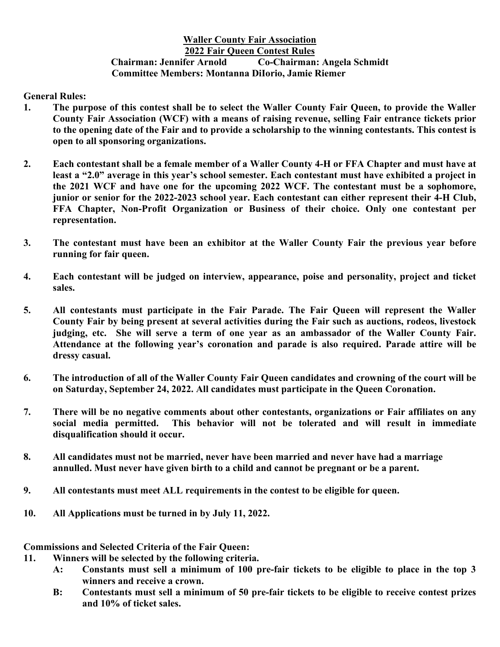## **Waller County Fair Association 2022 Fair Queen Contest Rules Chairman: Jennifer Arnold Co-Chairman: Angela Schmidt Committee Members: Montanna DiIorio, Jamie Riemer**

**General Rules:**

- **1. The purpose of this contest shall be to select the Waller County Fair Queen, to provide the Waller County Fair Association (WCF) with a means of raising revenue, selling Fair entrance tickets prior to the opening date of the Fair and to provide a scholarship to the winning contestants. This contest is open to all sponsoring organizations.**
- **2. Each contestant shall be a female member of a Waller County 4-H or FFA Chapter and must have at least a "2.0" average in this year's school semester. Each contestant must have exhibited a project in the 2021 WCF and have one for the upcoming 2022 WCF. The contestant must be a sophomore, junior or senior for the 2022-2023 school year. Each contestant can either represent their 4-H Club, FFA Chapter, Non-Profit Organization or Business of their choice. Only one contestant per representation.**
- **3. The contestant must have been an exhibitor at the Waller County Fair the previous year before running for fair queen.**
- **4. Each contestant will be judged on interview, appearance, poise and personality, project and ticket sales.**
- **5. All contestants must participate in the Fair Parade. The Fair Queen will represent the Waller County Fair by being present at several activities during the Fair such as auctions, rodeos, livestock judging, etc. She will serve a term of one year as an ambassador of the Waller County Fair. Attendance at the following year's coronation and parade is also required. Parade attire will be dressy casual.**
- **6. The introduction of all of the Waller County Fair Queen candidates and crowning of the court will be on Saturday, September 24, 2022. All candidates must participate in the Queen Coronation.**
- **7. There will be no negative comments about other contestants, organizations or Fair affiliates on any social media permitted. This behavior will not be tolerated and will result in immediate disqualification should it occur.**
- **8. All candidates must not be married, never have been married and never have had a marriage annulled. Must never have given birth to a child and cannot be pregnant or be a parent.**
- **9. All contestants must meet ALL requirements in the contest to be eligible for queen.**
- **10. All Applications must be turned in by July 11, 2022.**

**Commissions and Selected Criteria of the Fair Queen:**

- **11. Winners will be selected by the following criteria.**
	- **A: Constants must sell a minimum of 100 pre-fair tickets to be eligible to place in the top 3 winners and receive a crown.**
	- **B: Contestants must sell a minimum of 50 pre-fair tickets to be eligible to receive contest prizes and 10% of ticket sales.**